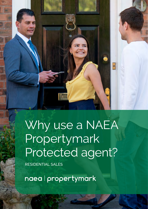

Why use a NAEA Propertymark Protected agent?

RESIDENTIAL SALES

naea | propertymark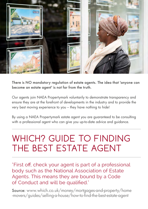

There is NO mandatory regulation of estate agents. The idea that 'anyone can become an estate agent' is not far from the truth.

Our agents join NAEA Propertymark voluntarily to demonstrate transparency and ensure they are at the forefront of developments in the industry and to provide the very best moving experience to you – they have nothing to hide!

By using a NAEA Propertymark estate agent you are guaranteed to be consulting with a professional agent who can give you up-to-date advice and guidance.

# WHICH? GUIDE TO FINDING THE BEST ESTATE AGENT

"First off, check your agent is part of a professional body such as the National Association of Estate Agents. This means they are bound by a Code of Conduct and will be qualified."

Source: [www.which.co.uk/money/mortgages-and-property/home](http://www.which.co.uk/money/mortgages-and-property/home -movers/guides/selling-a-house/how-to-find-the-bes)  [-movers/guides/selling-a-house/how-to-find-the-best-estate-agent](http://www.which.co.uk/money/mortgages-and-property/home -movers/guides/selling-a-house/how-to-find-the-bes)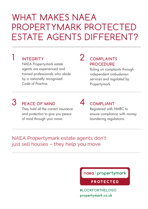## WHAT MAKES NAEA PROPERTYMARK PROTECTED ESTATE AGENTS DIFFERENT?

#### 1 **INTEGRITY**

NAEA Propertymark estate agents are experienced and trained professionals who abide by a nationally recognised Code of Practice.

### 2 **COMPLAINTS PROCEDURE**

Ruling on complaints through independent ombudsman services and regulated by Propertymark.

## 3 **PEACE OF MIND**

They hold all the correct insurance and protection to give you peace of mind through your move.

### 4 **COMPLIANT**

Registered with HMRC to ensure compliance with money laundering regulations.

#### NAEA Propertymark estate agents don't just sell houses – they help you move.

naea | propertymark

**PROTECTED** 

**#LOOKFORTHELOGO** [propertymark.co.uk](http://propertymark.co.uk)